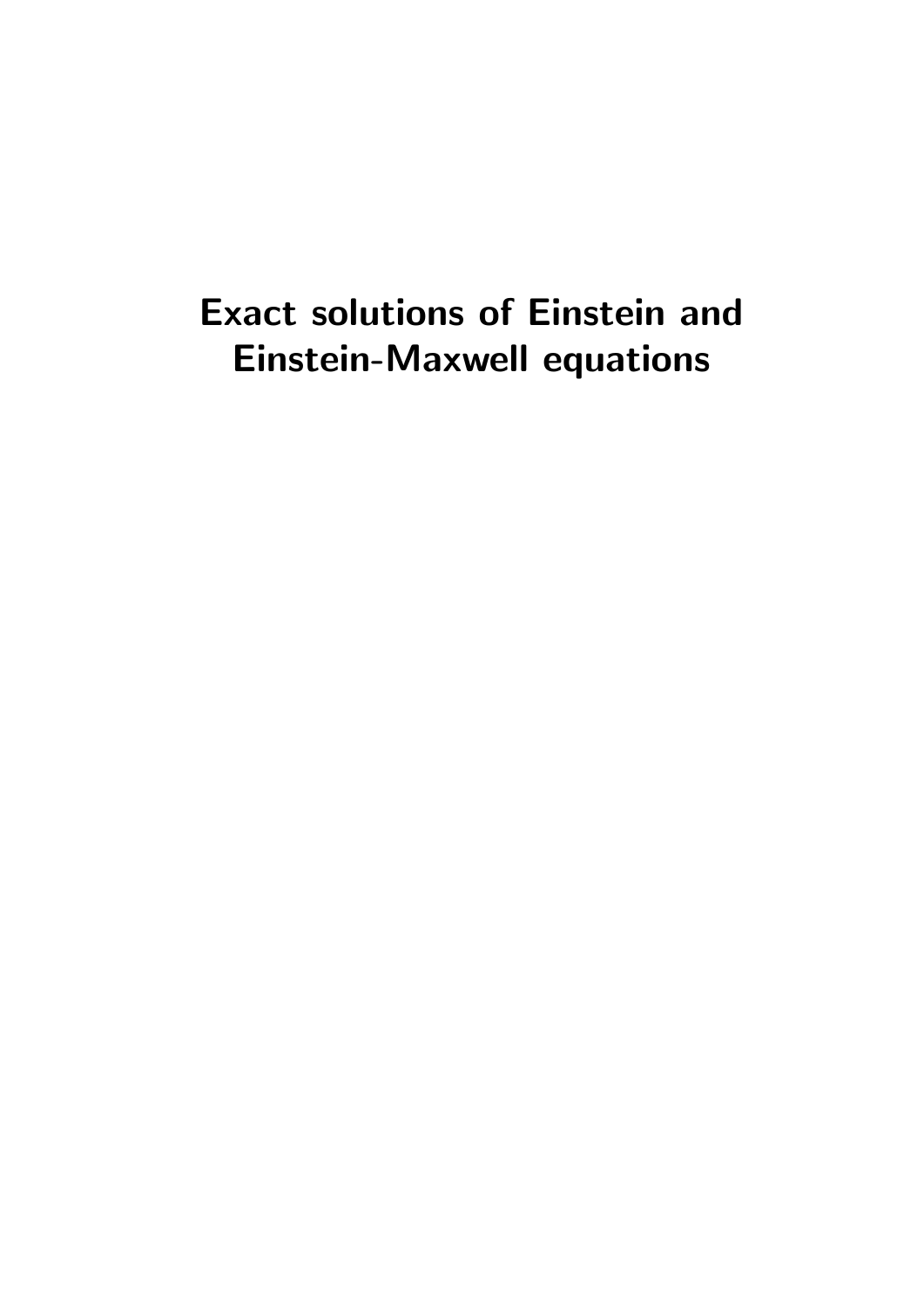# Exact solutions of Einstein and Einstein-Maxwell equations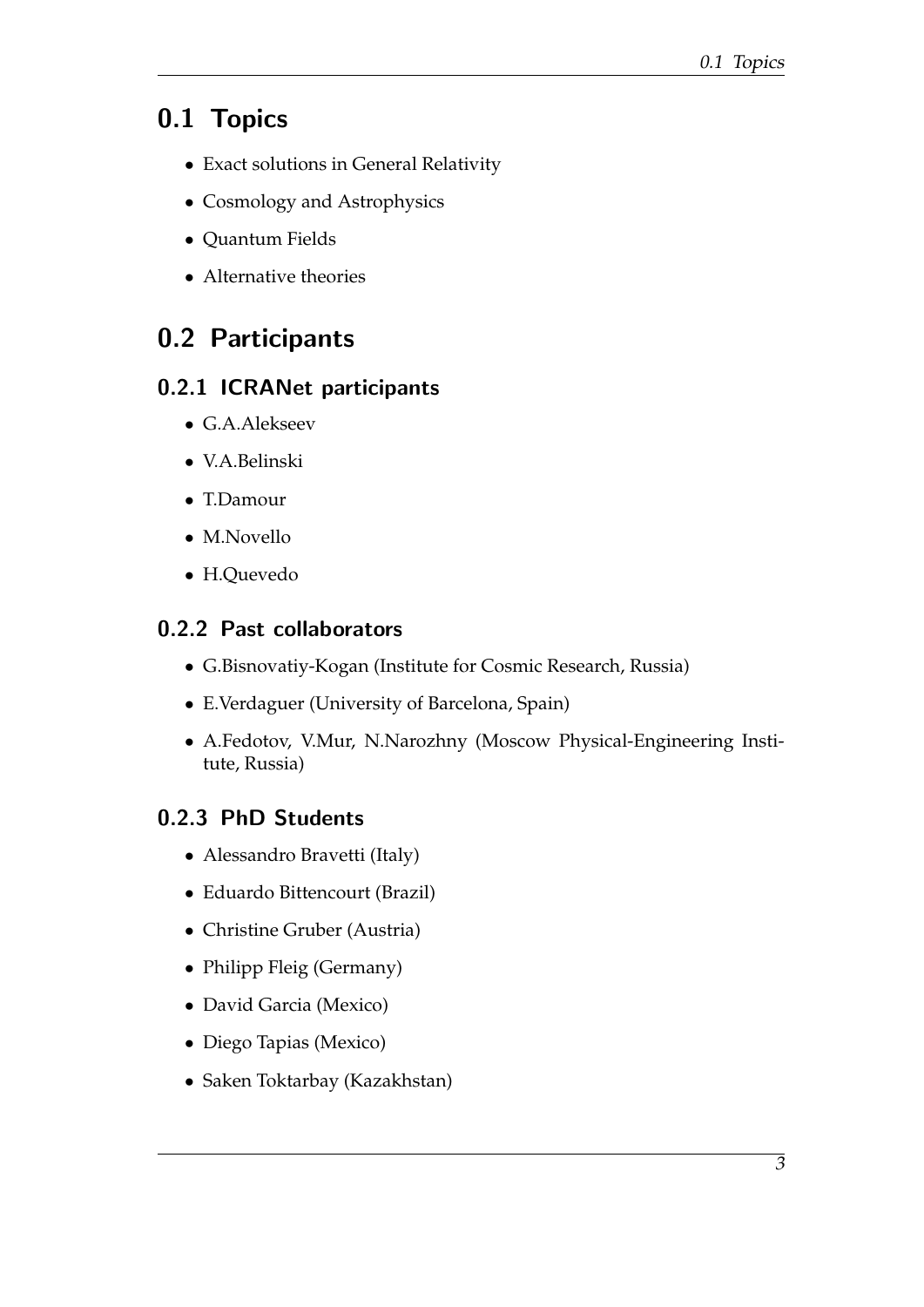## 0.1 Topics

- Exact solutions in General Relativity
- Cosmology and Astrophysics
- Quantum Fields
- Alternative theories

## 0.2 Participants

### 0.2.1 ICRANet participants

- G.A.Alekseev
- V.A.Belinski
- T.Damour
- M.Novello
- H.Quevedo

### 0.2.2 Past collaborators

- G.Bisnovatiy-Kogan (Institute for Cosmic Research, Russia)
- E.Verdaguer (University of Barcelona, Spain)
- A.Fedotov, V.Mur, N.Narozhny (Moscow Physical-Engineering Institute, Russia)

## 0.2.3 PhD Students

- Alessandro Bravetti (Italy)
- Eduardo Bittencourt (Brazil)
- Christine Gruber (Austria)
- Philipp Fleig (Germany)
- David Garcia (Mexico)
- Diego Tapias (Mexico)
- Saken Toktarbay (Kazakhstan)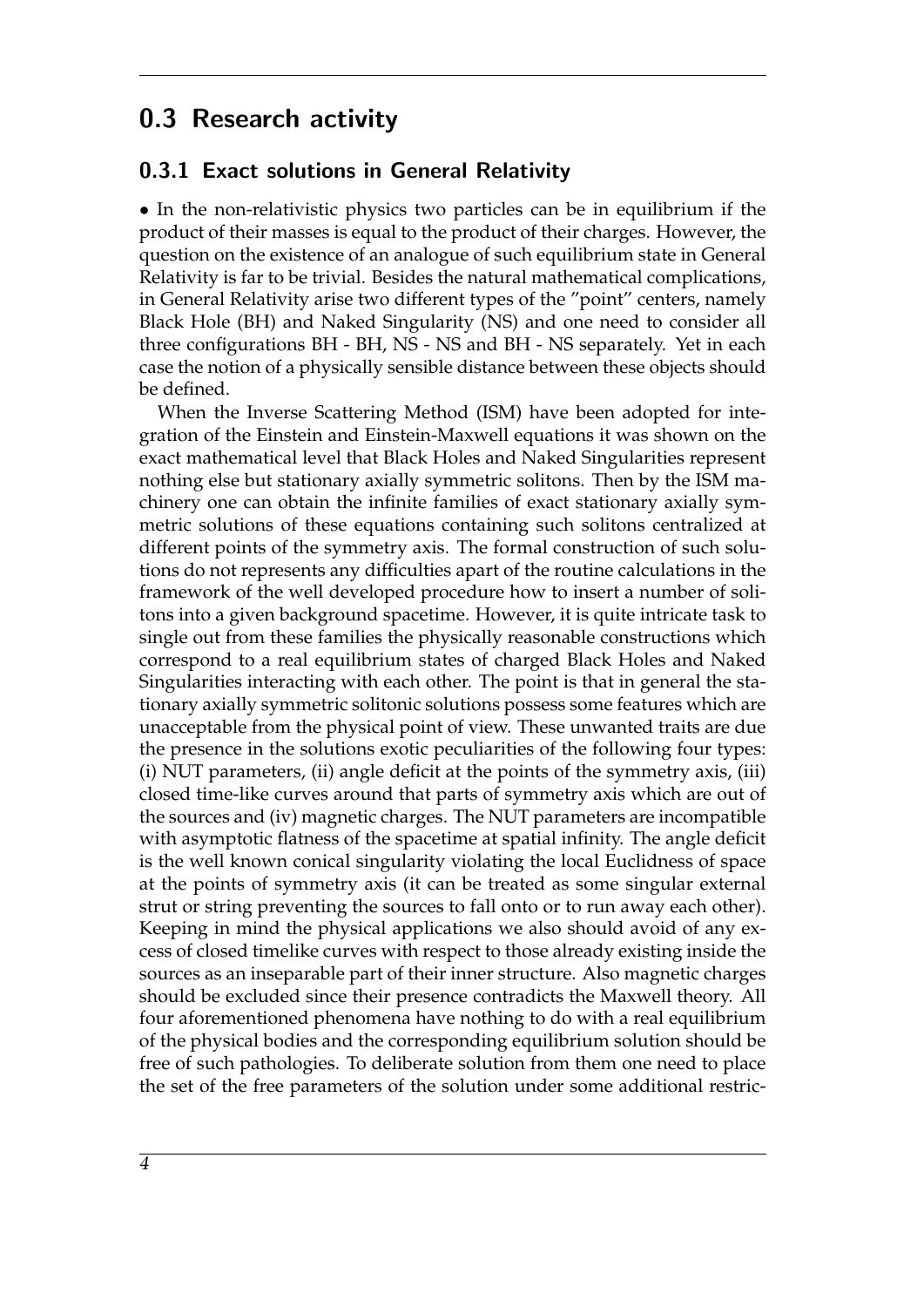## 0.3 Research activity

#### 0.3.1 Exact solutions in General Relativity

• In the non-relativistic physics two particles can be in equilibrium if the product of their masses is equal to the product of their charges. However, the question on the existence of an analogue of such equilibrium state in General Relativity is far to be trivial. Besides the natural mathematical complications, in General Relativity arise two different types of the "point" centers, namely Black Hole (BH) and Naked Singularity (NS) and one need to consider all three configurations BH - BH, NS - NS and BH - NS separately. Yet in each case the notion of a physically sensible distance between these objects should be defined.

When the Inverse Scattering Method (ISM) have been adopted for integration of the Einstein and Einstein-Maxwell equations it was shown on the exact mathematical level that Black Holes and Naked Singularities represent nothing else but stationary axially symmetric solitons. Then by the ISM machinery one can obtain the infinite families of exact stationary axially symmetric solutions of these equations containing such solitons centralized at different points of the symmetry axis. The formal construction of such solutions do not represents any difficulties apart of the routine calculations in the framework of the well developed procedure how to insert a number of solitons into a given background spacetime. However, it is quite intricate task to single out from these families the physically reasonable constructions which correspond to a real equilibrium states of charged Black Holes and Naked Singularities interacting with each other. The point is that in general the stationary axially symmetric solitonic solutions possess some features which are unacceptable from the physical point of view. These unwanted traits are due the presence in the solutions exotic peculiarities of the following four types: (i) NUT parameters, (ii) angle deficit at the points of the symmetry axis, (iii) closed time-like curves around that parts of symmetry axis which are out of the sources and (iv) magnetic charges. The NUT parameters are incompatible with asymptotic flatness of the spacetime at spatial infinity. The angle deficit is the well known conical singularity violating the local Euclidness of space at the points of symmetry axis (it can be treated as some singular external strut or string preventing the sources to fall onto or to run away each other). Keeping in mind the physical applications we also should avoid of any excess of closed timelike curves with respect to those already existing inside the sources as an inseparable part of their inner structure. Also magnetic charges should be excluded since their presence contradicts the Maxwell theory. All four aforementioned phenomena have nothing to do with a real equilibrium of the physical bodies and the corresponding equilibrium solution should be free of such pathologies. To deliberate solution from them one need to place the set of the free parameters of the solution under some additional restric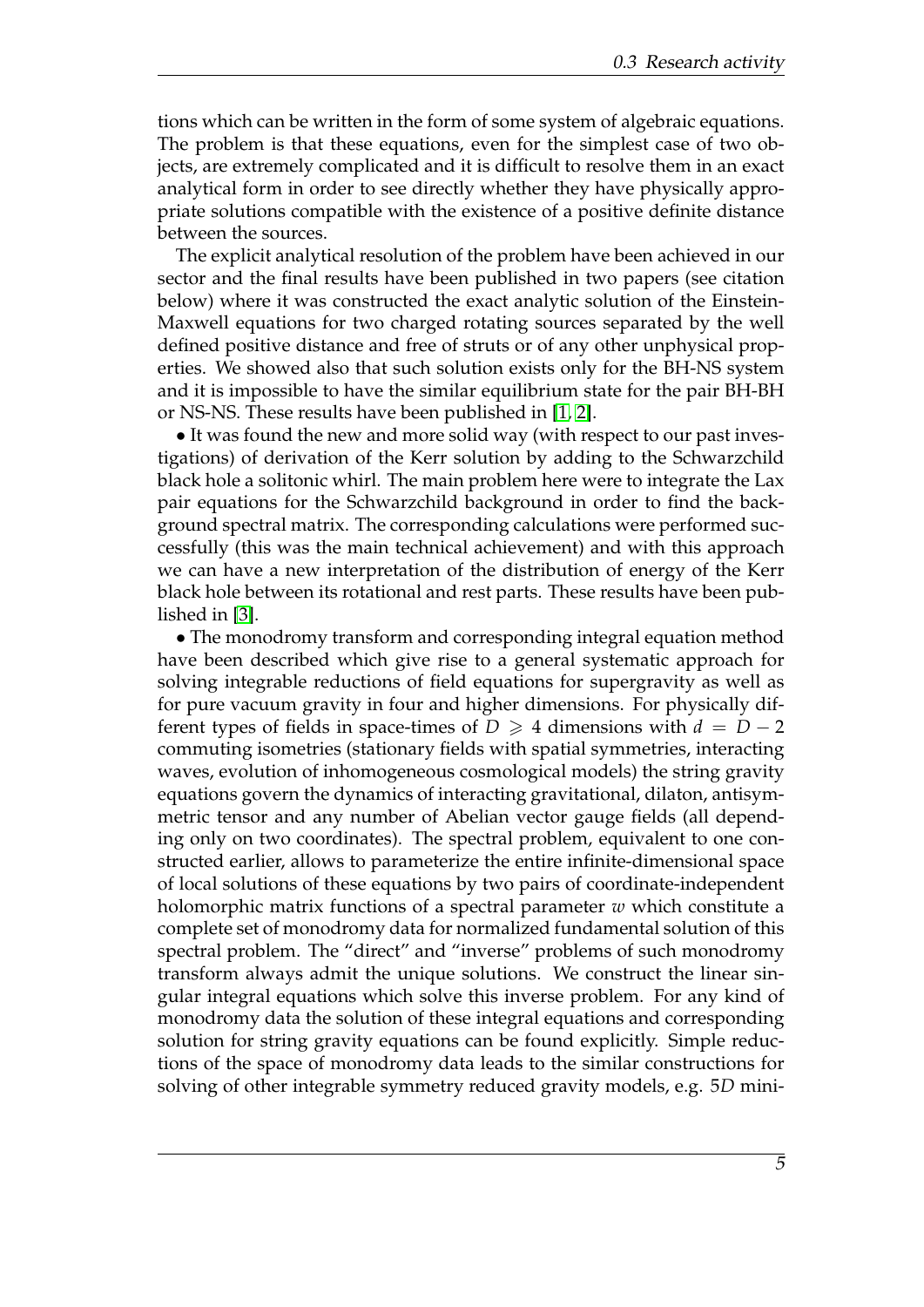tions which can be written in the form of some system of algebraic equations. The problem is that these equations, even for the simplest case of two objects, are extremely complicated and it is difficult to resolve them in an exact analytical form in order to see directly whether they have physically appropriate solutions compatible with the existence of a positive definite distance between the sources.

The explicit analytical resolution of the problem have been achieved in our sector and the final results have been published in two papers (see citation below) where it was constructed the exact analytic solution of the Einstein-Maxwell equations for two charged rotating sources separated by the well defined positive distance and free of struts or of any other unphysical properties. We showed also that such solution exists only for the BH-NS system and it is impossible to have the similar equilibrium state for the pair BH-BH or NS-NS. These results have been published in [\[1,](#page-12-0) [2\]](#page-12-1).

• It was found the new and more solid way (with respect to our past investigations) of derivation of the Kerr solution by adding to the Schwarzchild black hole a solitonic whirl. The main problem here were to integrate the Lax pair equations for the Schwarzchild background in order to find the background spectral matrix. The corresponding calculations were performed successfully (this was the main technical achievement) and with this approach we can have a new interpretation of the distribution of energy of the Kerr black hole between its rotational and rest parts. These results have been published in [\[3\]](#page-12-2).

• The monodromy transform and corresponding integral equation method have been described which give rise to a general systematic approach for solving integrable reductions of field equations for supergravity as well as for pure vacuum gravity in four and higher dimensions. For physically different types of fields in space-times of  $D \geq 4$  dimensions with  $d = D - 2$ commuting isometries (stationary fields with spatial symmetries, interacting waves, evolution of inhomogeneous cosmological models) the string gravity equations govern the dynamics of interacting gravitational, dilaton, antisymmetric tensor and any number of Abelian vector gauge fields (all depending only on two coordinates). The spectral problem, equivalent to one constructed earlier, allows to parameterize the entire infinite-dimensional space of local solutions of these equations by two pairs of coordinate-independent holomorphic matrix functions of a spectral parameter *w* which constitute a complete set of monodromy data for normalized fundamental solution of this spectral problem. The "direct" and "inverse" problems of such monodromy transform always admit the unique solutions. We construct the linear singular integral equations which solve this inverse problem. For any kind of monodromy data the solution of these integral equations and corresponding solution for string gravity equations can be found explicitly. Simple reductions of the space of monodromy data leads to the similar constructions for solving of other integrable symmetry reduced gravity models, e.g. 5*D* mini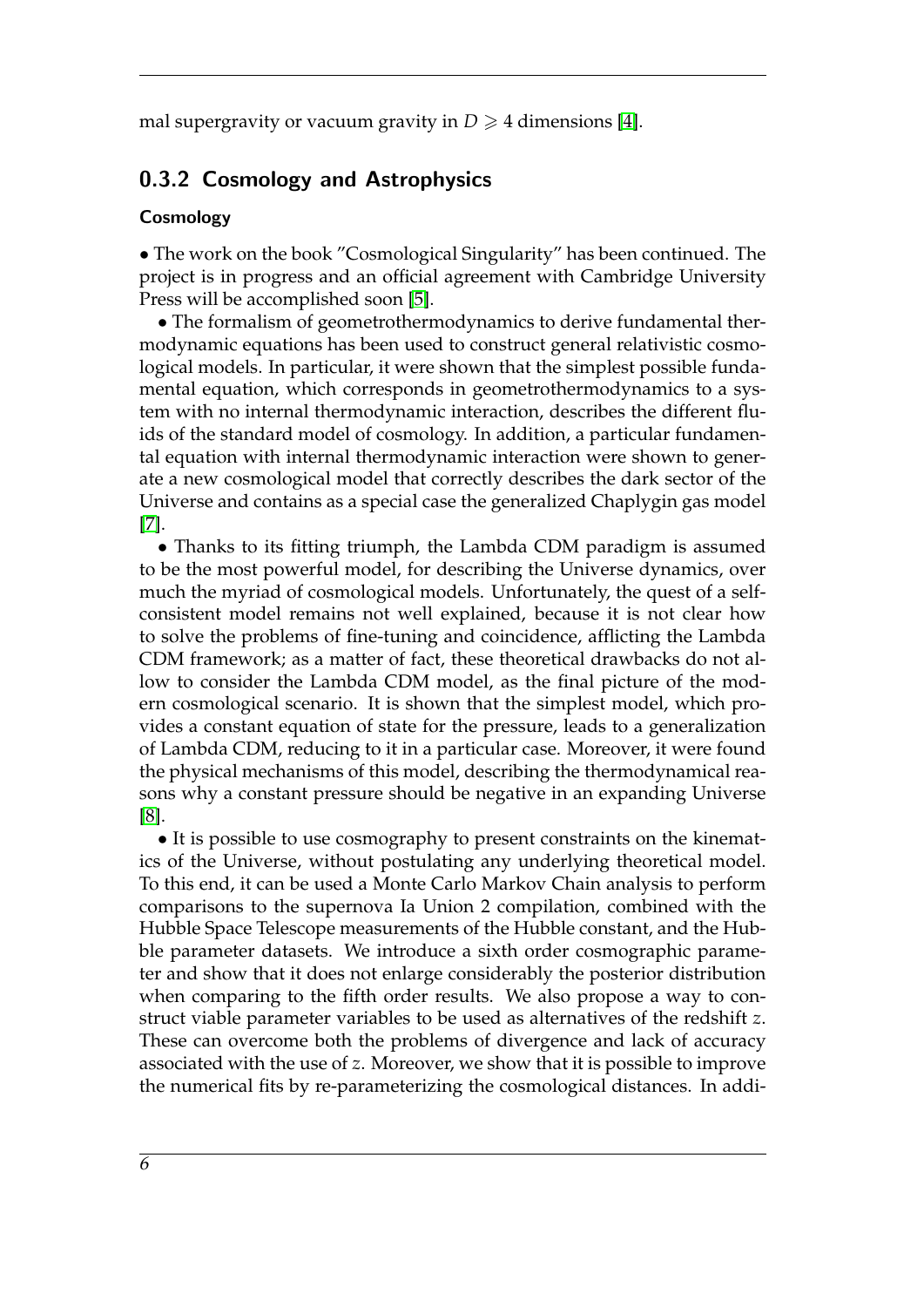mal supergravity or vacuum gravity in  $D \geq 4$  dimensions [\[4\]](#page-12-3).

#### 0.3.2 Cosmology and Astrophysics

#### Cosmology

• The work on the book "Cosmological Singularity" has been continued. The project is in progress and an official agreement with Cambridge University Press will be accomplished soon [\[5\]](#page-12-4).

• The formalism of geometrothermodynamics to derive fundamental thermodynamic equations has been used to construct general relativistic cosmological models. In particular, it were shown that the simplest possible fundamental equation, which corresponds in geometrothermodynamics to a system with no internal thermodynamic interaction, describes the different fluids of the standard model of cosmology. In addition, a particular fundamental equation with internal thermodynamic interaction were shown to generate a new cosmological model that correctly describes the dark sector of the Universe and contains as a special case the generalized Chaplygin gas model [\[7\]](#page-12-5).

• Thanks to its fitting triumph, the Lambda CDM paradigm is assumed to be the most powerful model, for describing the Universe dynamics, over much the myriad of cosmological models. Unfortunately, the quest of a selfconsistent model remains not well explained, because it is not clear how to solve the problems of fine-tuning and coincidence, afflicting the Lambda CDM framework; as a matter of fact, these theoretical drawbacks do not allow to consider the Lambda CDM model, as the final picture of the modern cosmological scenario. It is shown that the simplest model, which provides a constant equation of state for the pressure, leads to a generalization of Lambda CDM, reducing to it in a particular case. Moreover, it were found the physical mechanisms of this model, describing the thermodynamical reasons why a constant pressure should be negative in an expanding Universe [\[8\]](#page-12-6).

• It is possible to use cosmography to present constraints on the kinematics of the Universe, without postulating any underlying theoretical model. To this end, it can be used a Monte Carlo Markov Chain analysis to perform comparisons to the supernova Ia Union 2 compilation, combined with the Hubble Space Telescope measurements of the Hubble constant, and the Hubble parameter datasets. We introduce a sixth order cosmographic parameter and show that it does not enlarge considerably the posterior distribution when comparing to the fifth order results. We also propose a way to construct viable parameter variables to be used as alternatives of the redshift *z*. These can overcome both the problems of divergence and lack of accuracy associated with the use of *z*. Moreover, we show that it is possible to improve the numerical fits by re-parameterizing the cosmological distances. In addi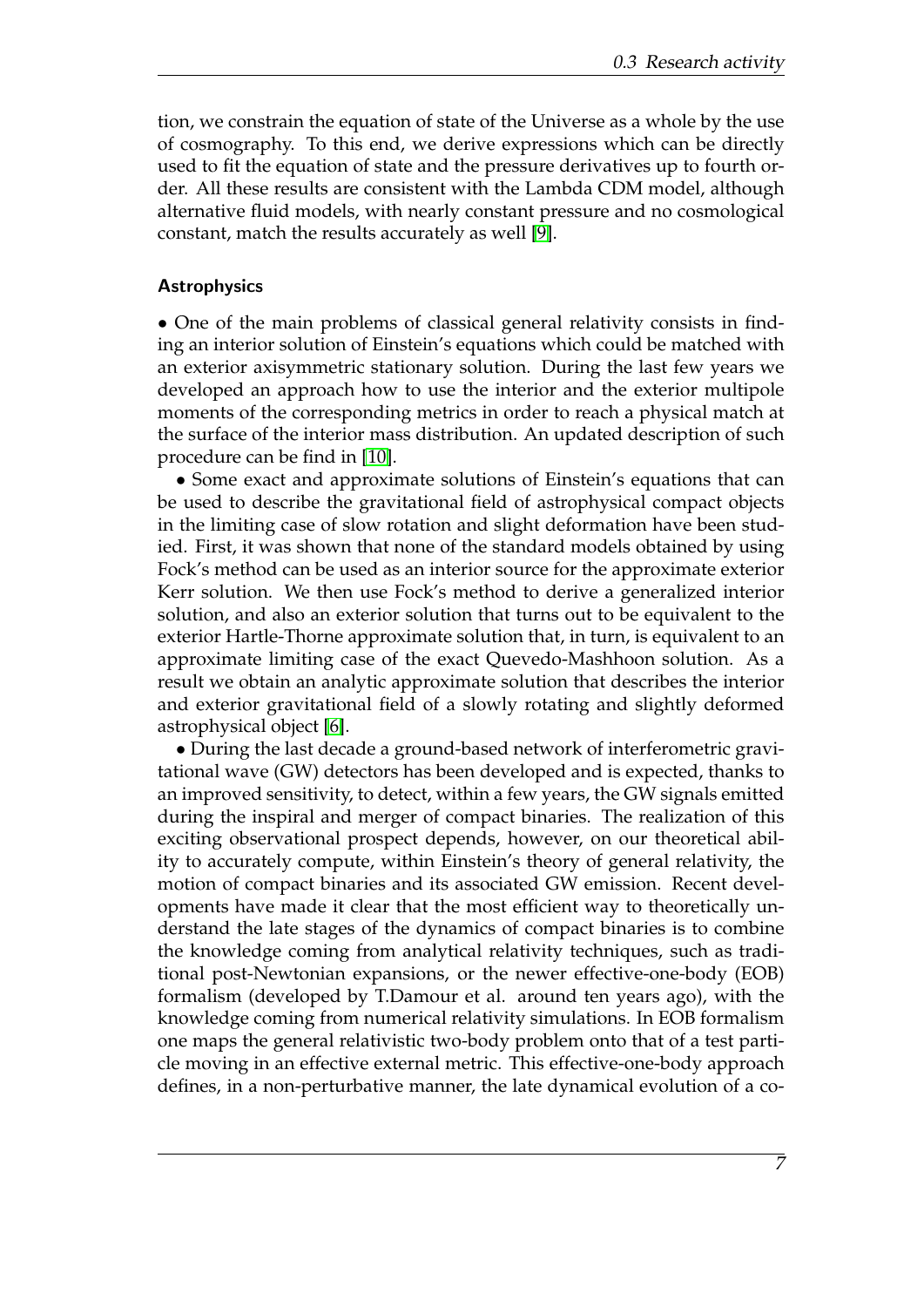tion, we constrain the equation of state of the Universe as a whole by the use of cosmography. To this end, we derive expressions which can be directly used to fit the equation of state and the pressure derivatives up to fourth order. All these results are consistent with the Lambda CDM model, although alternative fluid models, with nearly constant pressure and no cosmological constant, match the results accurately as well [\[9\]](#page-12-7).

#### **Astrophysics**

• One of the main problems of classical general relativity consists in finding an interior solution of Einstein's equations which could be matched with an exterior axisymmetric stationary solution. During the last few years we developed an approach how to use the interior and the exterior multipole moments of the corresponding metrics in order to reach a physical match at the surface of the interior mass distribution. An updated description of such procedure can be find in [\[10\]](#page-12-8).

• Some exact and approximate solutions of Einstein's equations that can be used to describe the gravitational field of astrophysical compact objects in the limiting case of slow rotation and slight deformation have been studied. First, it was shown that none of the standard models obtained by using Fock's method can be used as an interior source for the approximate exterior Kerr solution. We then use Fock's method to derive a generalized interior solution, and also an exterior solution that turns out to be equivalent to the exterior Hartle-Thorne approximate solution that, in turn, is equivalent to an approximate limiting case of the exact Quevedo-Mashhoon solution. As a result we obtain an analytic approximate solution that describes the interior and exterior gravitational field of a slowly rotating and slightly deformed astrophysical object [\[6\]](#page-12-9).

• During the last decade a ground-based network of interferometric gravitational wave (GW) detectors has been developed and is expected, thanks to an improved sensitivity, to detect, within a few years, the GW signals emitted during the inspiral and merger of compact binaries. The realization of this exciting observational prospect depends, however, on our theoretical ability to accurately compute, within Einstein's theory of general relativity, the motion of compact binaries and its associated GW emission. Recent developments have made it clear that the most efficient way to theoretically understand the late stages of the dynamics of compact binaries is to combine the knowledge coming from analytical relativity techniques, such as traditional post-Newtonian expansions, or the newer effective-one-body (EOB) formalism (developed by T.Damour et al. around ten years ago), with the knowledge coming from numerical relativity simulations. In EOB formalism one maps the general relativistic two-body problem onto that of a test particle moving in an effective external metric. This effective-one-body approach defines, in a non-perturbative manner, the late dynamical evolution of a co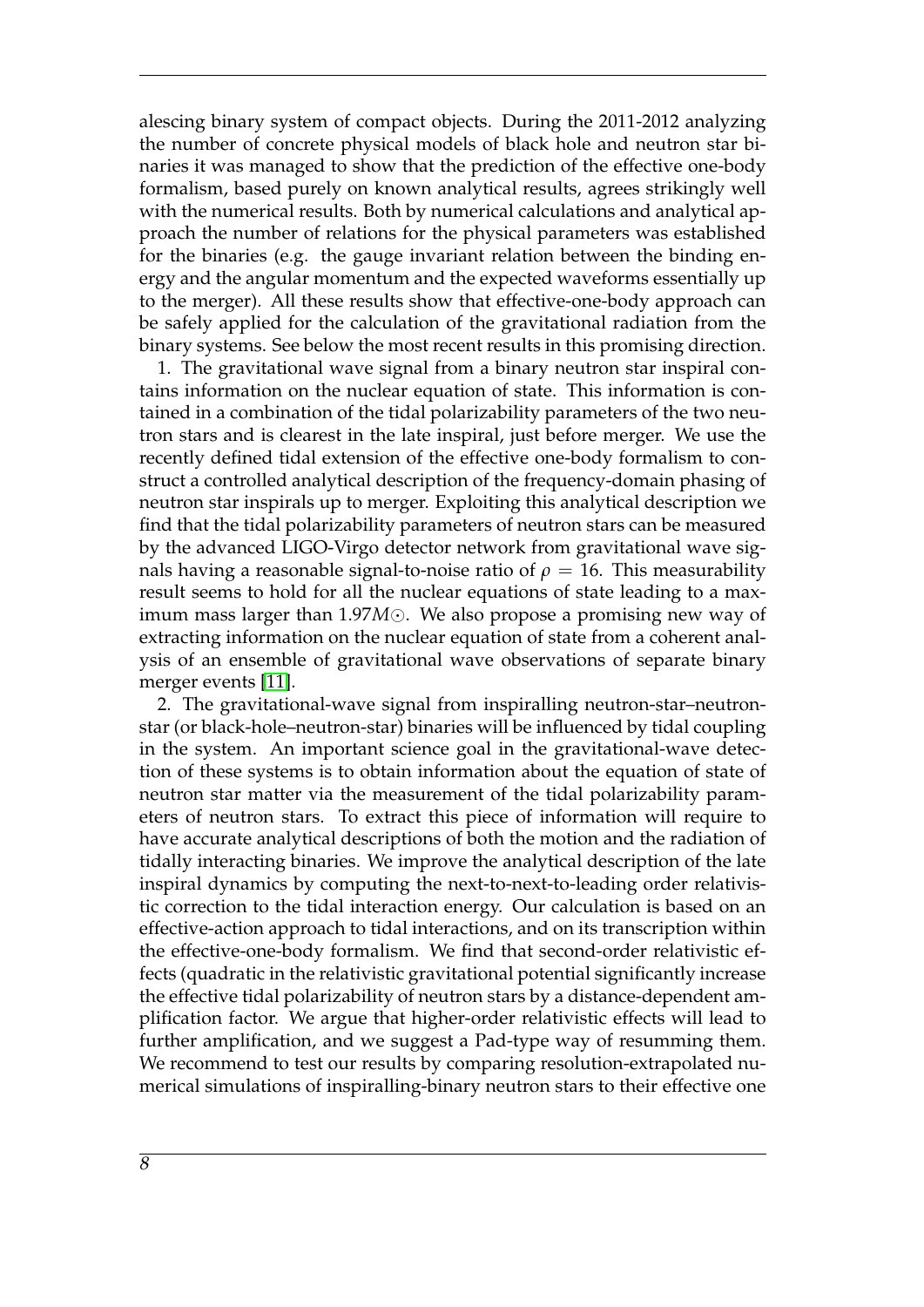alescing binary system of compact objects. During the 2011-2012 analyzing the number of concrete physical models of black hole and neutron star binaries it was managed to show that the prediction of the effective one-body formalism, based purely on known analytical results, agrees strikingly well with the numerical results. Both by numerical calculations and analytical approach the number of relations for the physical parameters was established for the binaries (e.g. the gauge invariant relation between the binding energy and the angular momentum and the expected waveforms essentially up to the merger). All these results show that effective-one-body approach can be safely applied for the calculation of the gravitational radiation from the binary systems. See below the most recent results in this promising direction.

1. The gravitational wave signal from a binary neutron star inspiral contains information on the nuclear equation of state. This information is contained in a combination of the tidal polarizability parameters of the two neutron stars and is clearest in the late inspiral, just before merger. We use the recently defined tidal extension of the effective one-body formalism to construct a controlled analytical description of the frequency-domain phasing of neutron star inspirals up to merger. Exploiting this analytical description we find that the tidal polarizability parameters of neutron stars can be measured by the advanced LIGO-Virgo detector network from gravitational wave signals having a reasonable signal-to-noise ratio of  $\rho = 16$ . This measurability result seems to hold for all the nuclear equations of state leading to a maximum mass larger than 1.97*M*. We also propose a promising new way of extracting information on the nuclear equation of state from a coherent analysis of an ensemble of gravitational wave observations of separate binary merger events [\[11\]](#page-12-10).

2. The gravitational-wave signal from inspiralling neutron-star–neutronstar (or black-hole–neutron-star) binaries will be influenced by tidal coupling in the system. An important science goal in the gravitational-wave detection of these systems is to obtain information about the equation of state of neutron star matter via the measurement of the tidal polarizability parameters of neutron stars. To extract this piece of information will require to have accurate analytical descriptions of both the motion and the radiation of tidally interacting binaries. We improve the analytical description of the late inspiral dynamics by computing the next-to-next-to-leading order relativistic correction to the tidal interaction energy. Our calculation is based on an effective-action approach to tidal interactions, and on its transcription within the effective-one-body formalism. We find that second-order relativistic effects (quadratic in the relativistic gravitational potential significantly increase the effective tidal polarizability of neutron stars by a distance-dependent amplification factor. We argue that higher-order relativistic effects will lead to further amplification, and we suggest a Pad-type way of resumming them. We recommend to test our results by comparing resolution-extrapolated numerical simulations of inspiralling-binary neutron stars to their effective one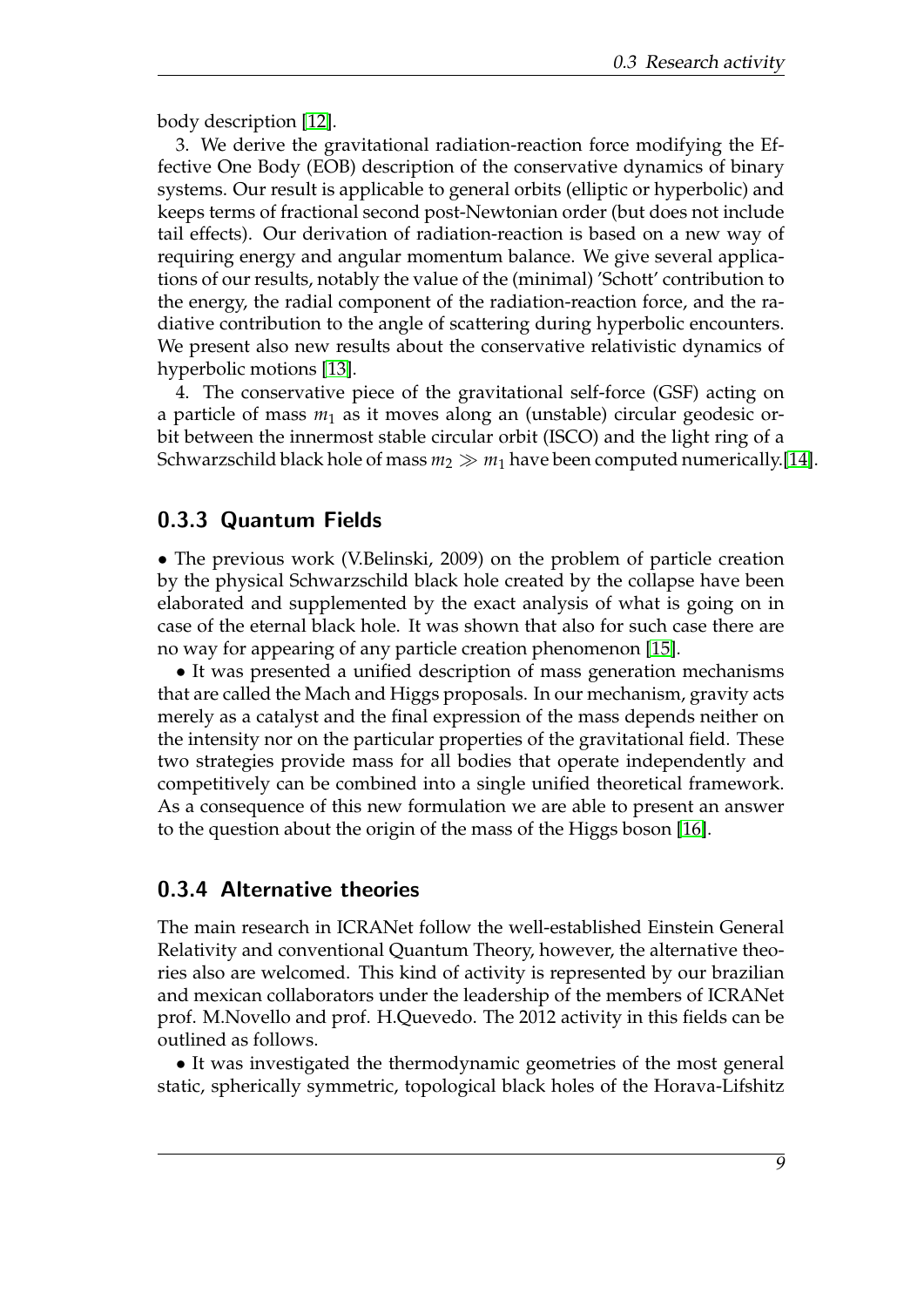body description [\[12\]](#page-13-0).

3. We derive the gravitational radiation-reaction force modifying the Effective One Body (EOB) description of the conservative dynamics of binary systems. Our result is applicable to general orbits (elliptic or hyperbolic) and keeps terms of fractional second post-Newtonian order (but does not include tail effects). Our derivation of radiation-reaction is based on a new way of requiring energy and angular momentum balance. We give several applications of our results, notably the value of the (minimal) 'Schott' contribution to the energy, the radial component of the radiation-reaction force, and the radiative contribution to the angle of scattering during hyperbolic encounters. We present also new results about the conservative relativistic dynamics of hyperbolic motions [\[13\]](#page-13-1).

4. The conservative piece of the gravitational self-force (GSF) acting on a particle of mass  $m_1$  as it moves along an (unstable) circular geodesic orbit between the innermost stable circular orbit (ISCO) and the light ring of a Schwarzschild black hole of mass  $m_2 \gg m_1$  have been computed numerically.[\[14\]](#page-13-2).

#### 0.3.3 Quantum Fields

• The previous work (V.Belinski, 2009) on the problem of particle creation by the physical Schwarzschild black hole created by the collapse have been elaborated and supplemented by the exact analysis of what is going on in case of the eternal black hole. It was shown that also for such case there are no way for appearing of any particle creation phenomenon [\[15\]](#page-13-3).

• It was presented a unified description of mass generation mechanisms that are called the Mach and Higgs proposals. In our mechanism, gravity acts merely as a catalyst and the final expression of the mass depends neither on the intensity nor on the particular properties of the gravitational field. These two strategies provide mass for all bodies that operate independently and competitively can be combined into a single unified theoretical framework. As a consequence of this new formulation we are able to present an answer to the question about the origin of the mass of the Higgs boson [\[16\]](#page-13-4).

#### 0.3.4 Alternative theories

The main research in ICRANet follow the well-established Einstein General Relativity and conventional Quantum Theory, however, the alternative theories also are welcomed. This kind of activity is represented by our brazilian and mexican collaborators under the leadership of the members of ICRANet prof. M.Novello and prof. H.Quevedo. The 2012 activity in this fields can be outlined as follows.

• It was investigated the thermodynamic geometries of the most general static, spherically symmetric, topological black holes of the Horava-Lifshitz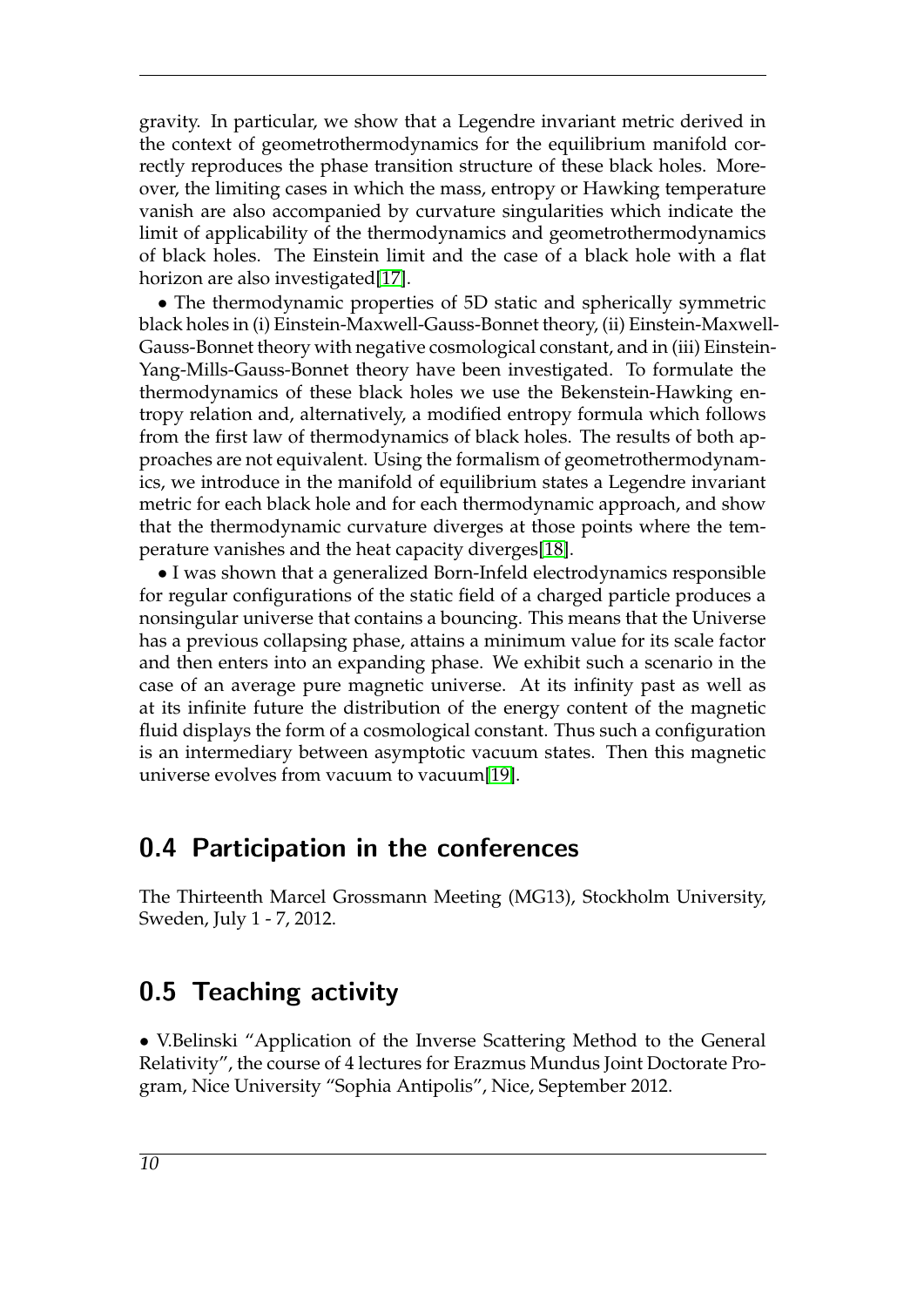gravity. In particular, we show that a Legendre invariant metric derived in the context of geometrothermodynamics for the equilibrium manifold correctly reproduces the phase transition structure of these black holes. Moreover, the limiting cases in which the mass, entropy or Hawking temperature vanish are also accompanied by curvature singularities which indicate the limit of applicability of the thermodynamics and geometrothermodynamics of black holes. The Einstein limit and the case of a black hole with a flat horizon are also investigated[\[17\]](#page-13-5).

• The thermodynamic properties of 5D static and spherically symmetric black holes in (i) Einstein-Maxwell-Gauss-Bonnet theory, (ii) Einstein-Maxwell-Gauss-Bonnet theory with negative cosmological constant, and in (iii) Einstein-Yang-Mills-Gauss-Bonnet theory have been investigated. To formulate the thermodynamics of these black holes we use the Bekenstein-Hawking entropy relation and, alternatively, a modified entropy formula which follows from the first law of thermodynamics of black holes. The results of both approaches are not equivalent. Using the formalism of geometrothermodynamics, we introduce in the manifold of equilibrium states a Legendre invariant metric for each black hole and for each thermodynamic approach, and show that the thermodynamic curvature diverges at those points where the temperature vanishes and the heat capacity diverges[\[18\]](#page-13-6).

• I was shown that a generalized Born-Infeld electrodynamics responsible for regular configurations of the static field of a charged particle produces a nonsingular universe that contains a bouncing. This means that the Universe has a previous collapsing phase, attains a minimum value for its scale factor and then enters into an expanding phase. We exhibit such a scenario in the case of an average pure magnetic universe. At its infinity past as well as at its infinite future the distribution of the energy content of the magnetic fluid displays the form of a cosmological constant. Thus such a configuration is an intermediary between asymptotic vacuum states. Then this magnetic universe evolves from vacuum to vacuum[\[19\]](#page-13-7).

## 0.4 Participation in the conferences

The Thirteenth Marcel Grossmann Meeting (MG13), Stockholm University, Sweden, July 1 - 7, 2012.

## 0.5 Teaching activity

• V.Belinski "Application of the Inverse Scattering Method to the General Relativity", the course of 4 lectures for Erazmus Mundus Joint Doctorate Program, Nice University "Sophia Antipolis", Nice, September 2012.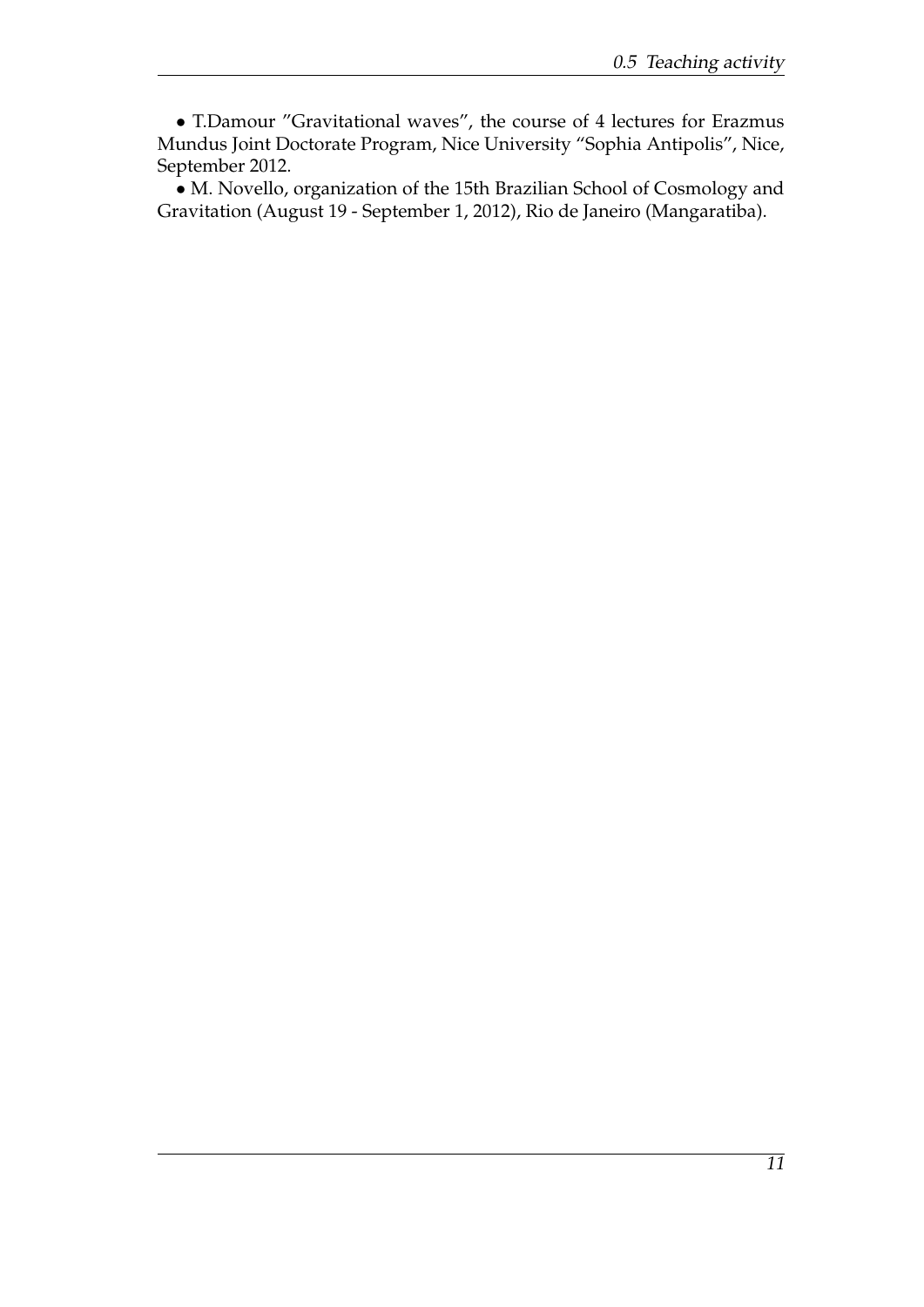• T.Damour "Gravitational waves", the course of 4 lectures for Erazmus Mundus Joint Doctorate Program, Nice University "Sophia Antipolis", Nice, September 2012.

• M. Novello, organization of the 15th Brazilian School of Cosmology and Gravitation (August 19 - September 1, 2012), Rio de Janeiro (Mangaratiba).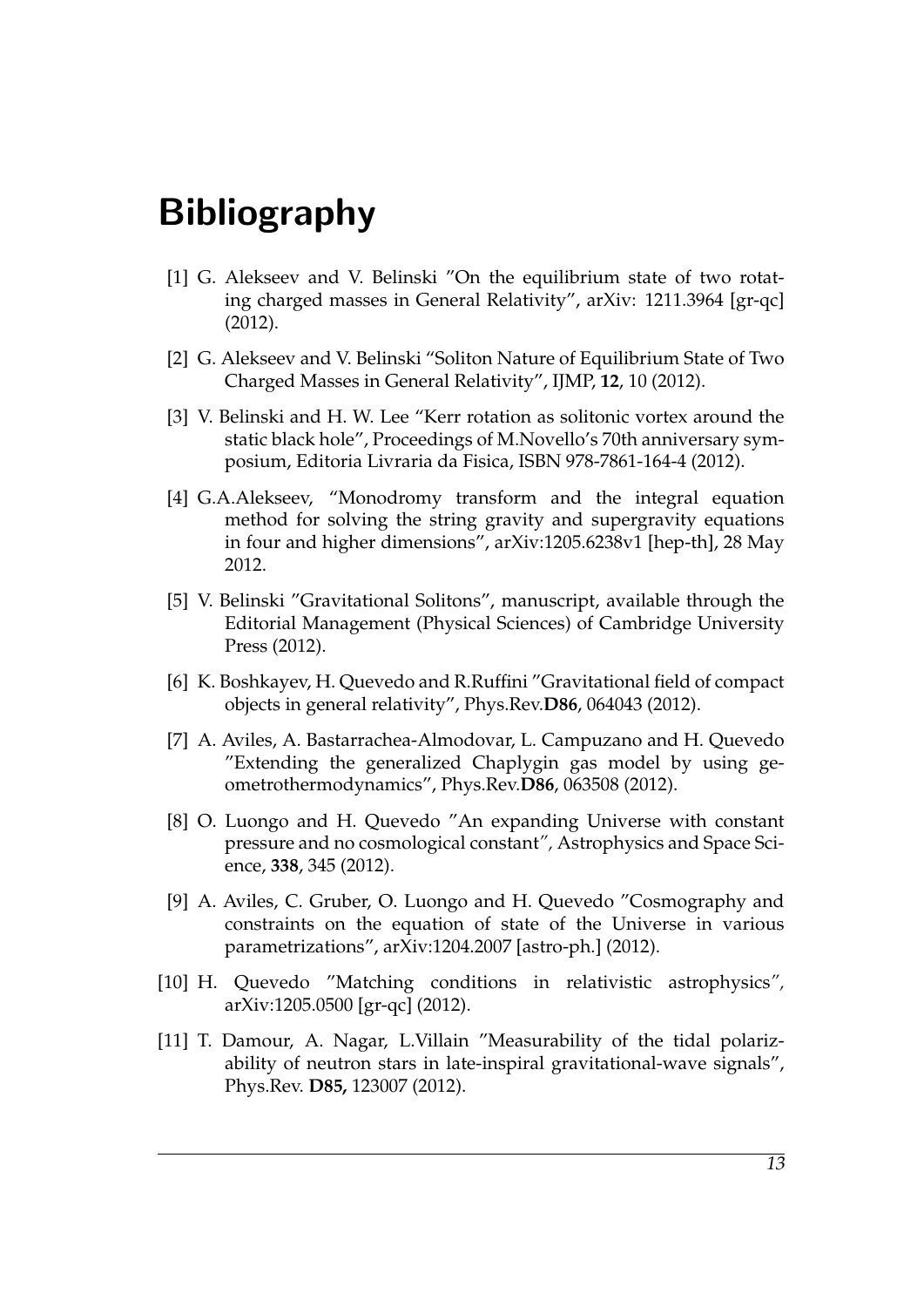# Bibliography

- <span id="page-12-0"></span>[1] G. Alekseev and V. Belinski "On the equilibrium state of two rotating charged masses in General Relativity", arXiv: 1211.3964 [gr-qc] (2012).
- <span id="page-12-1"></span>[2] G. Alekseev and V. Belinski "Soliton Nature of Equilibrium State of Two Charged Masses in General Relativity", IJMP, **12**, 10 (2012).
- <span id="page-12-2"></span>[3] V. Belinski and H. W. Lee "Kerr rotation as solitonic vortex around the static black hole", Proceedings of M.Novello's 70th anniversary symposium, Editoria Livraria da Fisica, ISBN 978-7861-164-4 (2012).
- <span id="page-12-3"></span>[4] G.A.Alekseev, "Monodromy transform and the integral equation method for solving the string gravity and supergravity equations in four and higher dimensions", arXiv:1205.6238v1 [hep-th], 28 May 2012.
- <span id="page-12-4"></span>[5] V. Belinski "Gravitational Solitons", manuscript, available through the Editorial Management (Physical Sciences) of Cambridge University Press (2012).
- <span id="page-12-9"></span>[6] K. Boshkayev, H. Quevedo and R.Ruffini "Gravitational field of compact objects in general relativity", Phys.Rev.**D86**, 064043 (2012).
- <span id="page-12-5"></span>[7] A. Aviles, A. Bastarrachea-Almodovar, L. Campuzano and H. Quevedo "Extending the generalized Chaplygin gas model by using geometrothermodynamics", Phys.Rev.**D86**, 063508 (2012).
- <span id="page-12-6"></span>[8] O. Luongo and H. Quevedo "An expanding Universe with constant pressure and no cosmological constant*",* Astrophysics and Space Science, **338**, 345 (2012).
- <span id="page-12-7"></span>[9] A. Aviles, C. Gruber, O. Luongo and H. Quevedo "Cosmography and constraints on the equation of state of the Universe in various parametrizations", arXiv:1204.2007 [astro-ph.] (2012).
- <span id="page-12-8"></span>[10] H. Quevedo "Matching conditions in relativistic astrophysics*",* arXiv:1205.0500 [gr-qc] (2012).
- <span id="page-12-10"></span>[11] T. Damour, A. Nagar, L.Villain "Measurability of the tidal polarizability of neutron stars in late-inspiral gravitational-wave signals", Phys.Rev. **D85,** 123007 (2012).